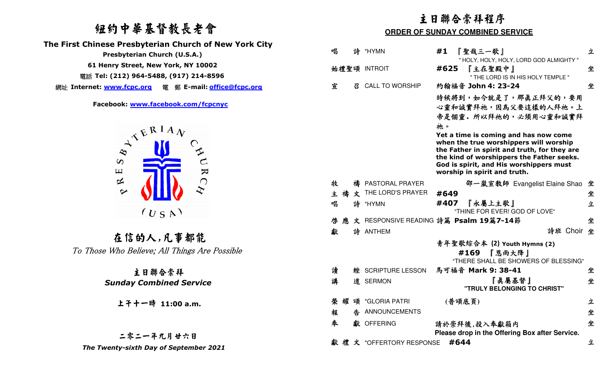## 紐約中華基督教長老會

 **The First Chinese Presbyterian Church of New York City** 

網址 **Internet: www.fcpc.org** 電 郵 **E-mail: office@fcpc.org**



在信的人,凡事都能To Those Who Believe; All Things Are Possible

### 主日聯合崇拜  *Sunday Combined Service*

# 上午十一時 **11:00 a.m.**

### 二零二一年九月廿六日The Twenty-sixth Day of September 2021

|                                                         | 主日聯合崇拜程序                                |   |                         |                                                                                                                                                                                                                                                               |   |  |
|---------------------------------------------------------|-----------------------------------------|---|-------------------------|---------------------------------------------------------------------------------------------------------------------------------------------------------------------------------------------------------------------------------------------------------------|---|--|
| 纽约中華基督教長老會                                              | <b>ORDER OF SUNDAY COMBINED SERVICE</b> |   |                         |                                                                                                                                                                                                                                                               |   |  |
| <b>Chinese Presbyterian Church of New York City</b>     | 唱                                       |   | 詩 *HYMN                 | 『聖哉三一歌』<br>#1                                                                                                                                                                                                                                                 | 立 |  |
| Presbyterian Church (U.S.A.)                            |                                         |   |                         | " HOLY, HOLY, HOLY, LORD GOD ALMIGHTY "                                                                                                                                                                                                                       |   |  |
| 61 Henry Street, New York, NY 10002                     |                                         |   | 始禮聖頌 INTROIT            | 『主在聖殿中』<br>#625                                                                                                                                                                                                                                               | 坐 |  |
| iii Tel: (212) 964-5488, (917) 214-8596                 |                                         |   |                         | " THE LORD IS IN HIS HOLY TEMPLE "                                                                                                                                                                                                                            |   |  |
|                                                         | 宣                                       | 召 | <b>CALL TO WORSHIP</b>  | 約翰福音 John 4: 23-24                                                                                                                                                                                                                                            | 坐 |  |
| Facebook: www.facebook.com/fcpcnyc                      |                                         |   |                         | 時候將到,如今就是了,那真正拜父的,要用<br>心靈和誠實拜祂,因為父要這樣的人拜祂。上<br>帝是個靈。所以拜祂的,必須用心靈和誠實拜                                                                                                                                                                                          |   |  |
| $A^{kRIA}$<br>$\infty$<br>$\Xi$<br>R                    |                                         |   |                         | 祂。<br>Yet a time is coming and has now come<br>when the true worshippers will worship<br>the Father in spirit and truth, for they are<br>the kind of worshippers the Father seeks.<br>God is spirit, and His worshippers must<br>worship in spirit and truth. |   |  |
| $\approx$                                               | 牧                                       | 禱 | PASTORAL PRAYER         | 邵一嵐宣教師 Evangelist Elaine Shao 坐                                                                                                                                                                                                                               |   |  |
| $\sim$                                                  | 主                                       | 文 | THE LORD'S PRAYER       | #649                                                                                                                                                                                                                                                          | 坐 |  |
| (U S A)                                                 | 唱                                       | 詩 | *HYMN                   | 『永屬上主歌』<br>#407<br>"THINE FOR EVER! GOD OF LOVE"                                                                                                                                                                                                              | 立 |  |
|                                                         | 啓<br>應                                  |   |                         | 文 RESPONSIVE READING 詩篇 Psalm 19篇7-14節                                                                                                                                                                                                                        | 坐 |  |
|                                                         | 獻                                       |   | 詩 ANTHEM                | 詩班 Choir 坐                                                                                                                                                                                                                                                    |   |  |
| 在信的人,凡事都能<br>Those Who Believe; All Things Are Possible |                                         |   |                         | 青年聖歌綜合本 (2) Youth Hymns (2)<br>#169 『恩雨大降』<br>"THERE SHALL BE SHOWERS OF BLESSING"                                                                                                                                                                            |   |  |
| 主日聯合崇拜                                                  | 讀                                       | 經 | <b>SCRIPTURE LESSON</b> | 馬可福音 Mark 9: 38-41                                                                                                                                                                                                                                            | 坐 |  |
| <b>Sunday Combined Service</b>                          | 講                                       |   | 道 SERMON                | 『真屬基督』<br>"TRULY BELONGING TO CHRIST"                                                                                                                                                                                                                         | 坐 |  |
| 上干十一時 11:00 a.m.                                        | 耀<br>榮                                  |   | 頌 *GLORIA PATRI         | (普頌底頁)                                                                                                                                                                                                                                                        | 立 |  |
|                                                         | 報                                       |   | 告 ANNOUNCEMENTS         |                                                                                                                                                                                                                                                               | 坐 |  |
|                                                         | 奉                                       |   | 獻 OFFERING              | 請於崇拜後,投入奉獻箱内<br>Please drop in the Offering Box after Service.                                                                                                                                                                                                | 坐 |  |
| 二零二一年九月廿六日<br>The Twenty-sixth Day of September 2021    | 獻禮                                      |   | 文 *OFFERTORY RESPONSE   | #644                                                                                                                                                                                                                                                          | 立 |  |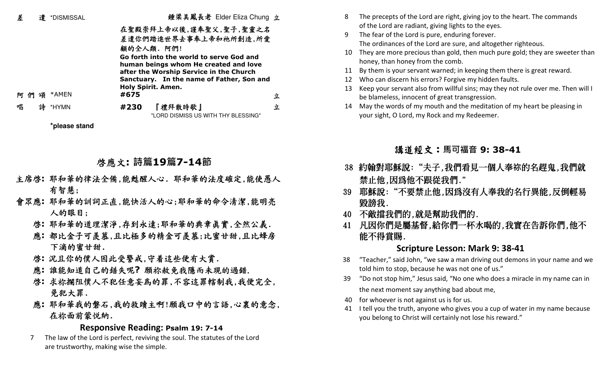| 差   | 遣 | *DISMISSAL | 鍾梁美鳳長老 Elder Eliza Chung 立                                                                                                                                                                             |  |
|-----|---|------------|--------------------------------------------------------------------------------------------------------------------------------------------------------------------------------------------------------|--|
|     |   |            | 在聖殿崇拜上帝以後,謹奉聖父,聖子,聖靈之名<br>差遣你們踏進世界去事奉上帝和祂所創造,所愛<br>顧的全人類. 阿們!                                                                                                                                          |  |
|     |   |            | Go forth into the world to serve God and<br>human beings whom He created and love<br>after the Worship Service in the Church<br>Sanctuary. In the name of Father, Son and<br><b>Holy Spirit. Amen.</b> |  |
| 阿 們 | 頌 | *AMEN      | #675<br>立                                                                                                                                                                                              |  |
| 唱   | 詩 | *HYMN      | 『禮拜散時歌』<br>#230<br>立<br>"LORD DISMISS US WITH THY BLESSING"                                                                                                                                            |  |

**\*please stand**

## 啟應文**: 詩篇19篇7-14節**

- 主席啓: 耶和華的律法全備,能甦醒人心. 耶和華的法度確定,能使愚人<br>有智慧;<br>會眾應: 耶和華的訓詞正直,能快活人的心;耶和華的命令清潔,能明亮<br>人的眼目;<br>啓: 耶和華的道理潔淨,存到永遠;耶和華的典章真實,全然公義.
- -
	- 應: 都比金子可羨慕,且比極多的精金可羨慕;比蜜甘甜,且比蜂房<br>- 下滴的蜜甘甜.<br>啓: 沉且你的僕人因此受警戒,守着這些便有大賞.
	-
	- 啓: 況且你的僕人因此受警戒,守着這些便有大賞.<br>應: 誰能知道自己的錯失呢? 願祢赦免我隱而未現的過錯.
	- <sup>啟</sup>**:** 求祢攔阻僕人不犯任意妄為的罪,不容這罪轄制我,我便完全, 免犯大罪.
	- <sup>應</sup>**:** 耶和華我的磐石,我的救贖主啊!願我口中的言語,心裏的意念, 在祢面前蒙悅納.

### **Responsive Reading: Psalm 19: 7-14**

 7 The law of the Lord is perfect, reviving the soul. The statutes of the Lord are trustworthy, making wise the simple.

- 8 The precepts of the Lord are right, giving joy to the heart. The commands of the Lord are radiant, giving lights to the eyes.
- 9 The fear of the Lord is pure, enduring forever. The ordinances of the Lord are sure, and altogether righteous.
- 10 They are more precious than gold, then much pure gold; they are sweeter than honey, than honey from the comb.
- 11 By them is your servant warned; in keeping them there is great reward.
- 12 Who can discern his errors? Forgive my hidden faults.
- 13 Keep your servant also from willful sins; may they not rule over me. Then will I be blameless, innocent of great transgression.
- 14 May the words of my mouth and the meditation of my heart be pleasing in your sight, O Lord, my Rock and my Redeemer.

## 講道經文:**馬可福音 9: 38-41**

- 38 約翰對耶穌說:"夫子,我們看見一個人奉**祢**的名趕鬼,我們就
- 禁止他,因爲他不跟從我們."<br>39 耶穌說:"不要禁止他,因爲沒有人奉我的名行異能,反倒輕易<br>毀謗我.<br>40 不敵擋我們的,就是幫助我們的.<br>41 凡因你們是屬基督,給你們一杯水喝的,我實在告訴你們,他不<br>能不得賞賜.
- 
- 

### **Scripture Lesson: Mark 9: 38-41**

- 38 "Teacher," said John, "we saw a man driving out demons in your name and we told him to stop, because he was not one of us."
- 39 "Do not stop him," Jesus said, "No one who does a miracle in my name can in the next moment say anything bad about me,
- 40 for whoever is not against us is for us.
- 41 I tell you the truth, anyone who gives you a cup of water in my name because you belong to Christ will certainly not lose his reward."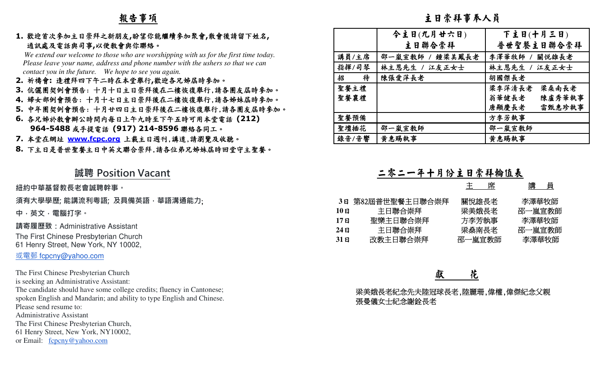## 報告事項

### **1.** 歡迎首次參加主日崇拜之新朋友**,**盼望你能繼續參加聚會**,**散會後請留下姓名**,**  通訊處及電話與司事**,**以便教會與你聯絡。

- **2.** 祈禱會**:** 逢禮拜四下午二時在本堂舉行**,**歡迎各兄姊屆時參加。
- **3.** 伉儷團契例會預告: 十月十日主日崇拜後在二樓恢復舉行,請各團友屆時參加。
- **4.** 婦女部例會預告: 十月十七日主日崇拜後在二樓恢復舉行,請各姊妹屆時參加。
- **5.** 中年團契例會預告: 十月廿四日主日崇拜後在二樓恢復舉行,請各團友屆時參加。
- **6.** 各兄姊於教會辦公時間內每日上午九時至下午五時可用本堂電話 **(212) 964-5488** 或手提電話 **(917) 214-8596** 聯絡各同工。
- **7.** 本堂在網址
- 8. 下主日是普世聖餐主日中英文聯合崇拜,請各位弟兄姊妹屆時回堂守主聖餐。

### **誠聘 Position Vacant**

| 報告事項                                                                                                                                                                                                                                                                                                                                                                                                                                                                                                                                                                                                                                   | 主日崇拜事奉人員                                                                                                                                                                                                                                                                                                                  |  |  |  |  |
|----------------------------------------------------------------------------------------------------------------------------------------------------------------------------------------------------------------------------------------------------------------------------------------------------------------------------------------------------------------------------------------------------------------------------------------------------------------------------------------------------------------------------------------------------------------------------------------------------------------------------------------|---------------------------------------------------------------------------------------------------------------------------------------------------------------------------------------------------------------------------------------------------------------------------------------------------------------------------|--|--|--|--|
| 1. 歡迎首次參加主日崇拜之新朋友,盼望你能繼續參加聚會,散會後請留下姓名,<br>通訊處及電話與司事,以便敎會與你聯絡。<br>We extend our welcome to those who are worshipping with us for the first time today.<br>Please leave your name, address and phone number with the ushers so that we can<br>contact you in the future. We hope to see you again.<br>2. 祈禱會:逢禮拜四下午二時在本堂舉行,歡迎各兄姊屆時參加。<br>3. 伉儷團契例會預告:十月十日主日崇拜後在二樓恢復舉行,請各團友屆時參加。<br>4. 婦女部例會預告:十月十七日主日崇拜後在二樓恢復舉行,請各姊妹屆時參加。<br>5.中年團契例會預告:十月廿四日主日崇拜後在二樓恢復舉行,請各團友屆時參加。<br>6. 各兄姊於敎會辦公時間内每日上午九時至下午五時可用本堂電話 (212)<br>964-5488 或手提電話 (917) 214-8596 聯絡各同工。<br>7. 本堂在網址 WWW.fcpc.org 上載主日週刊,講道,請瀏覽及收聽。<br>8. 下主日是普世聖餐主日中英文聯合崇拜,請各位弟兄姊妹屆時回堂守主聖餐。 | 今主日(九月廿六日)<br>下主日(十月三日)<br>主日聯合崇拜<br>普世聖餐主日聯合崇拜<br>講員/主席<br>關悦雄長老<br>邵一嵐宣教師 / 鍾梁美鳳長老<br>李澤華牧師 /<br>指揮/司琴<br>林主恩先生 / 江友正女士<br>林主恩先生<br>江友正女士<br>招<br>待<br>陳張愛萍長老<br>胡國傑長老<br>聖餐主禮<br>梁李萍清長老<br>梁桑南長老<br>聖餐襄禮<br>翁華健長老<br>陳盧秀華執事<br>唐顯慶長老<br>雷甄惠珍執事<br>聖餐預備<br>方李芳執事<br>邵一嵐宣教師<br>聖壇插花<br>邵一嵐宣教師<br>錄音/音響<br>黄惠賜執事<br>黄惠賜執事 |  |  |  |  |
| 誠聘 Position Vacant<br>紐約中華基督教長老會誠聘幹事。<br>須有大學學歷; 能講流利粵語; 及具備英語 · 華語溝通能力;<br>中,英文,電腦打字。<br>請寄履歷致:Administrative Assistant<br>The First Chinese Presbyterian Church<br>61 Henry Street, New York, NY 10002,<br>或電郵 fcpcny@yahoo.com                                                                                                                                                                                                                                                                                                                                                                                                      | 二零二一年十月份主日崇拜翰值表<br>主<br>講 員<br>3日 第82屆普世聖餐主日聯合崇拜<br>關悅雄長老<br>李澤華牧師<br>邵一嵐宣教師<br>主日聯合崇拜<br>梁美娥長老<br>$10$ 日<br>方李芳執事<br>聖樂主日聯合崇拜<br>李澤華牧師<br>17E<br>主日聯合崇拜<br>梁燊南長老<br>邵一嵐宣教師<br>$24$ 日<br>改教主日聯合崇拜<br>邵一嵐宣教師<br>李澤華牧師<br>31E                                                                                               |  |  |  |  |
| The First Chinese Presbyterian Church<br>is seeking an Administrative Assistant:<br>The candidate should have some college credits; fluency in Cantonese;<br>spoken English and Mandarin; and ability to type English and Chinese.<br>Please send resume to:<br><b>Administrative Assistant</b><br>The First Chinese Presbyterian Church,<br>61 Henry Street, New York, NY10002,<br>or Email: fcpcny@yahoo.com                                                                                                                                                                                                                         | 花<br>梁美娥長老紀念先夫陸冠球長老,陸麗珊,偉權,偉傑紀念父親<br>張曼儀女士紀念謝銓長老                                                                                                                                                                                                                                                                          |  |  |  |  |

|                                                            | 席<br>王                                     | 講  員                                        |
|------------------------------------------------------------|--------------------------------------------|---------------------------------------------|
| 第82屆普世聖餐主日聯合崇拜<br>主日聯合崇拜<br>聖樂主日聯合崇拜<br>主日聯合崇拜<br>改教主日聯合崇拜 | 關悅雄長老<br>梁美娥長老<br>方李芳執事<br>梁燊南長老<br>邵一嵐宣教師 | 李澤華牧師<br>邵一嵐宣教師<br>李澤華牧師<br>邵一嵐宣教師<br>李澤華牧師 |
|                                                            |                                            |                                             |